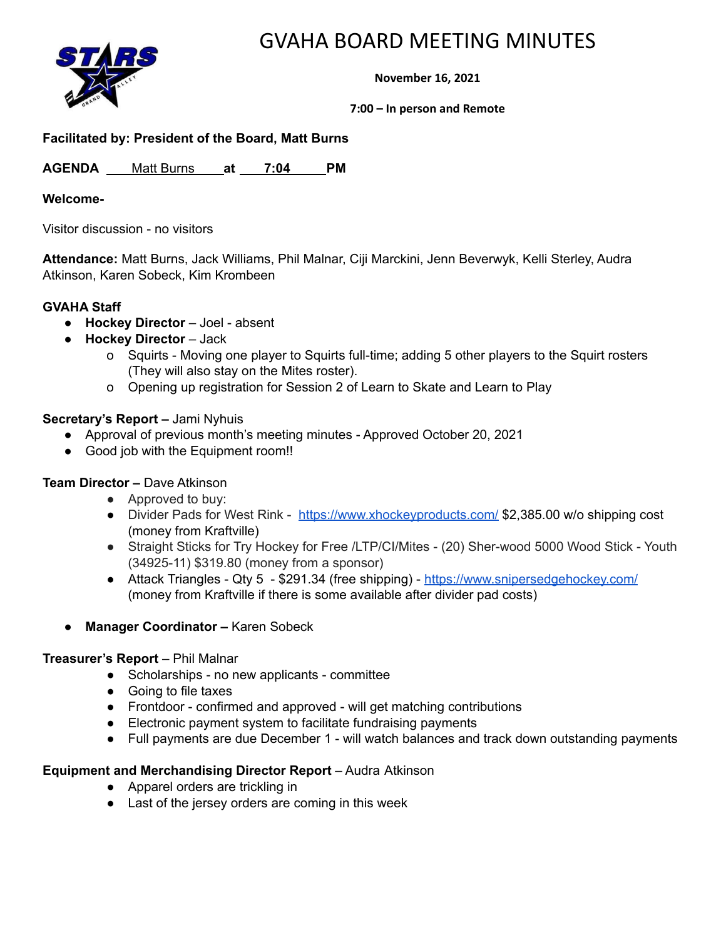



**November 16, 2021**

**7:00 – In person and Remote**

# **Facilitated by: President of the Board, Matt Burns**

AGENDA Matt Burns at 7:04 PM

#### **Welcome-**

Visitor discussion - no visitors

**Attendance:** Matt Burns, Jack Williams, Phil Malnar, Ciji Marckini, Jenn Beverwyk, Kelli Sterley, Audra Atkinson, Karen Sobeck, Kim Krombeen

# **GVAHA Staff**

- **Hockey Director** Joel absent
- **Hockey Director** Jack
	- o Squirts Moving one player to Squirts full-time; adding 5 other players to the Squirt rosters (They will also stay on the Mites roster).
	- o Opening up registration for Session 2 of Learn to Skate and Learn to Play

# **Secretary's Report –** Jami Nyhuis

- Approval of previous month's meeting minutes Approved October 20, 2021
- Good job with the Equipment room!!

# **Team Director –** Dave Atkinson

- Approved to buy:
- Divider Pads for West Rink <https://www.xhockeyproducts.com/> \$2,385.00 w/o shipping cost (money from Kraftville)
- Straight Sticks for Try Hockey for Free /LTP/CI/Mites (20) Sher-wood 5000 Wood Stick Youth (34925-11) \$319.80 (money from a sponsor)
- Attack Triangles Qty 5 \$291.34 (free shipping) <https://www.snipersedgehockey.com/> (money from Kraftville if there is some available after divider pad costs)
- **Manager Coordinator –** Karen Sobeck

# **Treasurer's Report** – Phil Malnar

- Scholarships no new applicants committee
- Going to file taxes
- Frontdoor confirmed and approved will get matching contributions
- Electronic payment system to facilitate fundraising payments
- Full payments are due December 1 will watch balances and track down outstanding payments

# **Equipment and Merchandising Director Report** – Audra Atkinson

- Apparel orders are trickling in
- Last of the jersey orders are coming in this week